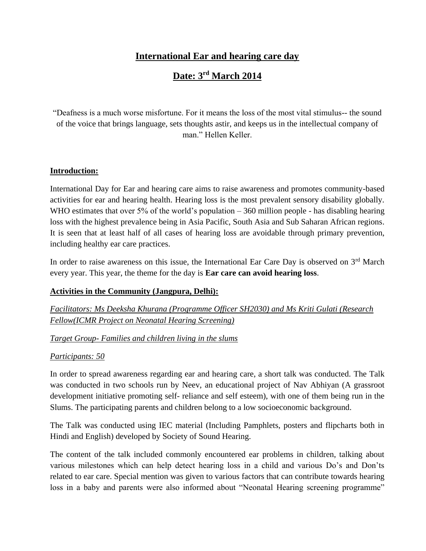## **International Ear and hearing care day**

# **Date: 3rd March 2014**

"Deafness is a much worse misfortune. For it means the loss of the most vital stimulus-- the sound of the voice that brings language, sets thoughts astir, and keeps us in the intellectual company of man." Hellen Keller.

#### **Introduction:**

International Day for Ear and hearing care aims to raise awareness and promotes community-based activities for ear and hearing health. Hearing loss is the most prevalent sensory disability globally. WHO estimates that over 5% of the world's population  $-360$  million people - has disabling hearing loss with the highest prevalence being in Asia Pacific, South Asia and Sub Saharan African regions. It is seen that at least half of all cases of hearing loss are avoidable through primary prevention, including healthy ear care practices.

In order to raise awareness on this issue, the International Ear Care Day is observed on  $3<sup>rd</sup>$  March every year. This year, the theme for the day is **Ear care can avoid hearing loss**.

### **Activities in the Community (Jangpura, Delhi):**

*Facilitators: Ms Deeksha Khurana (Programme Officer SH2030) and Ms Kriti Gulati (Research Fellow(ICMR Project on Neonatal Hearing Screening)*

### *Target Group- Families and children living in the slums*

#### *Participants: 50*

In order to spread awareness regarding ear and hearing care, a short talk was conducted. The Talk was conducted in two schools run by Neev, an educational project of Nav Abhiyan (A grassroot development initiative promoting self- reliance and self esteem), with one of them being run in the Slums. The participating parents and children belong to a low socioeconomic background.

The Talk was conducted using IEC material (Including Pamphlets, posters and flipcharts both in Hindi and English) developed by Society of Sound Hearing.

The content of the talk included commonly encountered ear problems in children, talking about various milestones which can help detect hearing loss in a child and various Do's and Don'ts related to ear care. Special mention was given to various factors that can contribute towards hearing loss in a baby and parents were also informed about "Neonatal Hearing screening programme"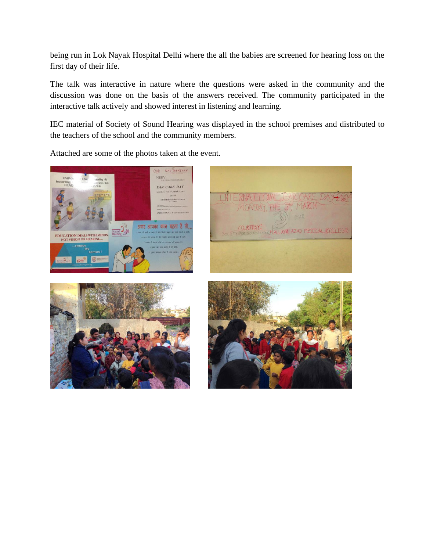being run in Lok Nayak Hospital Delhi where the all the babies are screened for hearing loss on the first day of their life.

The talk was interactive in nature where the questions were asked in the community and the discussion was done on the basis of the answers received. The community participated in the interactive talk actively and showed interest in listening and learning.

IEC material of Society of Sound Hearing was displayed in the school premises and distributed to the teachers of the school and the community members.

Attached are some of the photos taken at the event.